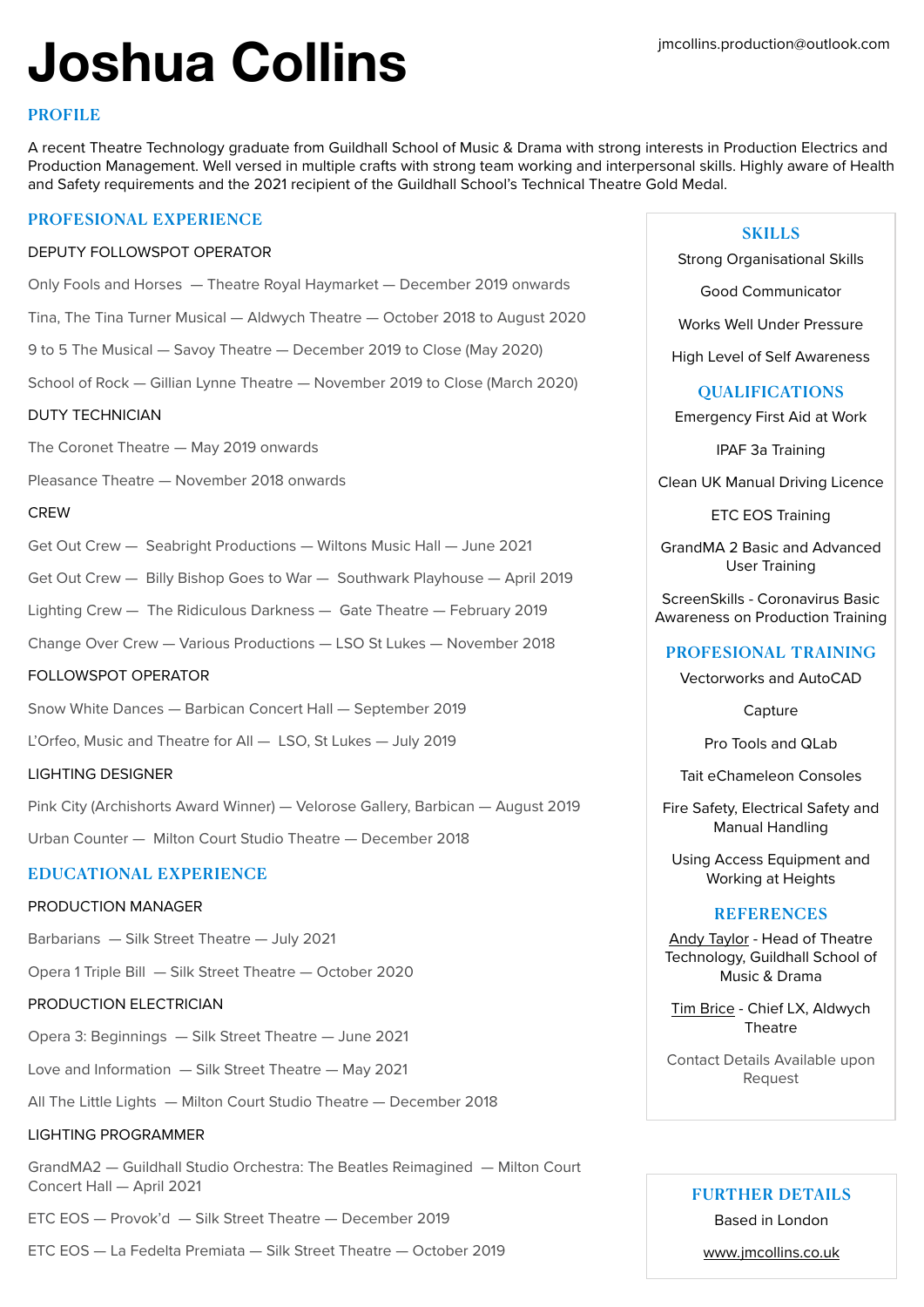# **Joshua Collins**

# **PROFILE**

A recent Theatre Technology graduate from Guildhall School of Music & Drama with strong interests in Production Electrics and Production Management. Well versed in multiple crafts with strong team working and interpersonal skills. Highly aware of Health and Safety requirements and the 2021 recipient of the Guildhall School's Technical Theatre Gold Medal.

# PROFESIONAL EXPERIENCE

#### DEPUTY FOLLOWSPOT OPERATOR

Only Fools and Horses — Theatre Royal Haymarket — December 2019 onwards

Tina, The Tina Turner Musical — Aldwych Theatre — October 2018 to August 2020

9 to 5 The Musical — Savoy Theatre — December 2019 to Close (May 2020)

School of Rock — Gillian Lynne Theatre — November 2019 to Close (March 2020)

## DUTY TECHNICIAN

The Coronet Theatre — May 2019 onwards

Pleasance Theatre — November 2018 onwards

## **CREW**

|  |  | Get Out Crew — Seabright Productions — Wiltons Music Hall — June 2021 |  |  |  |
|--|--|-----------------------------------------------------------------------|--|--|--|
|--|--|-----------------------------------------------------------------------|--|--|--|

Get Out Crew — Billy Bishop Goes to War — Southwark Playhouse — April 2019

Lighting Crew — The Ridiculous Darkness — Gate Theatre — February 2019

Change Over Crew — Various Productions — LSO St Lukes — November 2018

## FOLLOWSPOT OPERATOR

Snow White Dances — Barbican Concert Hall — September 2019

L'Orfeo, Music and Theatre for All — LSO, St Lukes — July 2019

## LIGHTING DESIGNER

Pink City (Archishorts Award Winner) — Velorose Gallery, Barbican — August 2019 Urban Counter — Milton Court Studio Theatre — December 2018

# EDUCATIONAL EXPERIENCE

## PRODUCTION MANAGER

Barbarians — Silk Street Theatre — July 2021

Opera 1 Triple Bill — Silk Street Theatre — October 2020

## PRODUCTION ELECTRICIAN

Opera 3: Beginnings — Silk Street Theatre — June 2021

Love and Information — Silk Street Theatre — May 2021

All The Little Lights — Milton Court Studio Theatre — December 2018

## LIGHTING PROGRAMMER

GrandMA2 — Guildhall Studio Orchestra: The Beatles Reimagined — Milton Court Concert Hall — April 2021

ETC EOS — Provok'd — Silk Street Theatre — December 2019

ETC EOS — La Fedelta Premiata — Silk Street Theatre — October 2019

# SKILLS

Strong Organisational Skills

Good Communicator

Works Well Under Pressure

High Level of Self Awareness

## **OUALIFICATIONS**

Emergency First Aid at Work

IPAF 3a Training

Clean UK Manual Driving Licence

ETC EOS Training

GrandMA 2 Basic and Advanced User Training

ScreenSkills - Coronavirus Basic Awareness on Production Training

## PROFESIONAL TRAINING

Vectorworks and AutoCAD

**Capture** 

Pro Tools and QLab

Tait eChameleon Consoles

Fire Safety, Electrical Safety and Manual Handling

Using Access Equipment and Working at Heights

## **REFERENCES**

Andy Taylor - Head of Theatre Technology, Guildhall School of Music & Drama

Tim Brice - Chief LX, Aldwych Theatre

Contact Details Available upon Request

## FURTHER DETAILS

Based in London

[www.jmcollins.co.uk](http://www.jmcollins.co.uk)